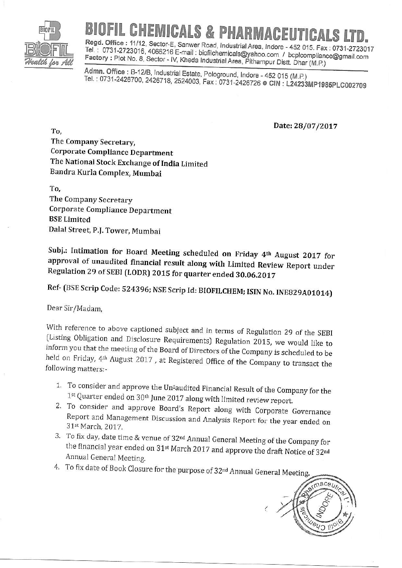

## **BIOFIL CHEMICALS & PHARMACEUTICALS LTD.**<br>Regd. Office : 11/12, Sector-E, Sanwer Road, Industrial Area, Indore - 452 015, Fax : 0731-2723017

Tel.: 0731-2723016, 4066216 E-mail: biofilchemicals@yahoo.com / bcplcompliance@gmail.com Factory : Plot No. 8, Sector - IV, Kheda Industrial Area, Pithampur Distt. Dhar (M.P.)

Admn. Office: B-12/B, Industrial Estate, Pologround, Indore - 452 015 (M.P.) rel. : 0731-2426700, 2426718, 2524003, Fax : 0731-2426726 ● CIN **: L24233MP1985PLC002709** 

Date: 28/07/2017

TO, The Company Secretary, Corporate Compliance Department The National Stock Exchange of India Limited Bandra Kurla Complex, Mumbai

To, The Company Secretary Corporate Compliance Department BSE Limited Dalal Street, p.J. Tower, Mumbai

Subj.: Intimation for Board Meeting scheduled on Friday 4<sup>th</sup> August 2017 for approval of unaudited financial result along with Limited Review Report under Regulation 29 of SEBI (LODR) 2015 for quarter ended 30.06.2017

Ref- (BSE Scrip Code: 524396; NSE Scrip Id: BIOFILCHEM; ISIN No. INE829A01014)

Dear Sir/Madam,

With reference to above captioned subject and in terms of Regulation 29 of the SEBI (Listing Obligation and Disclosure Requirements) Regulation 2015, we would like to inform you that the meeting of the Board of Directors o held on Friday, 4<sup>th</sup> August 2017, at Registered Office of the Company to transact the following matters:-

- 
- 1. To consider and approve the Un<sup>s</sup>audited Financial Result of the Company for the 1<sup>st</sup> Quarter ended on 30<sup>th</sup> June 2017 along with limited review report.<br>2. To consider and approve Board's Report along with Corporate
- the financial year ended on 31<sup>st</sup> March 2017 and approve the draft Notice of 32<sup>nd</sup> Annual General Meeting.
- 4. To fix date of Book Closure for the purpose of 32<sup>nd</sup> Annual General Meeting.